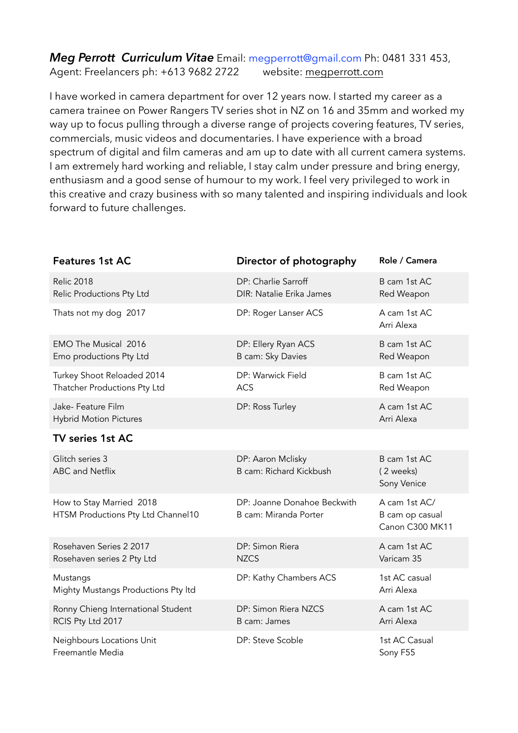### *Meg Perrott Curriculum Vitae* Email: megperrott@gmail.com Ph: 0481 331 453, Agent: Freelancers ph: +613 9682 2722 website: [megperrott.com](http://megperrott.com)

I have worked in camera department for over 12 years now. I started my career as a camera trainee on Power Rangers TV series shot in NZ on 16 and 35mm and worked my way up to focus pulling through a diverse range of projects covering features, TV series, commercials, music videos and documentaries. I have experience with a broad spectrum of digital and film cameras and am up to date with all current camera systems. I am extremely hard working and reliable, I stay calm under pressure and bring energy, enthusiasm and a good sense of humour to my work. I feel very privileged to work in this creative and crazy business with so many talented and inspiring individuals and look forward to future challenges.

| <b>Features 1st AC</b>                                         | Director of photography                              | Role / Camera                                       |
|----------------------------------------------------------------|------------------------------------------------------|-----------------------------------------------------|
| <b>Relic 2018</b><br>Relic Productions Pty Ltd                 | DP: Charlie Sarroff<br>DIR: Natalie Erika James      | B cam 1st AC<br>Red Weapon                          |
| Thats not my dog 2017                                          | DP: Roger Lanser ACS                                 | A cam 1st AC<br>Arri Alexa                          |
| <b>EMO The Musical 2016</b><br>Emo productions Pty Ltd         | DP: Ellery Ryan ACS<br>B cam: Sky Davies             | B cam 1st AC<br>Red Weapon                          |
| Turkey Shoot Reloaded 2014<br>Thatcher Productions Pty Ltd     | DP: Warwick Field<br><b>ACS</b>                      | B cam 1st AC<br>Red Weapon                          |
| Jake- Feature Film<br><b>Hybrid Motion Pictures</b>            | DP: Ross Turley                                      | A cam 1st AC<br>Arri Alexa                          |
| TV series 1st AC                                               |                                                      |                                                     |
| Glitch series 3<br><b>ABC</b> and Netflix                      | DP: Aaron Mclisky<br>B cam: Richard Kickbush         | B cam 1st AC<br>(2 weeks)<br>Sony Venice            |
| How to Stay Married 2018<br>HTSM Productions Pty Ltd Channel10 | DP: Joanne Donahoe Beckwith<br>B cam: Miranda Porter | A cam 1st AC/<br>B cam op casual<br>Canon C300 MK11 |
| Rosehaven Series 2 2017<br>Rosehaven series 2 Pty Ltd          | DP: Simon Riera<br><b>NZCS</b>                       | A cam 1st AC<br>Varicam 35                          |
| Mustangs<br>Mighty Mustangs Productions Pty Itd                | DP: Kathy Chambers ACS                               | 1st AC casual<br>Arri Alexa                         |
| Ronny Chieng International Student<br>RCIS Pty Ltd 2017        | DP: Simon Riera NZCS<br>B cam: James                 | A cam 1st AC<br>Arri Alexa                          |
| Neighbours Locations Unit<br>Freemantle Media                  | DP: Steve Scoble                                     | 1st AC Casual<br>Sony F55                           |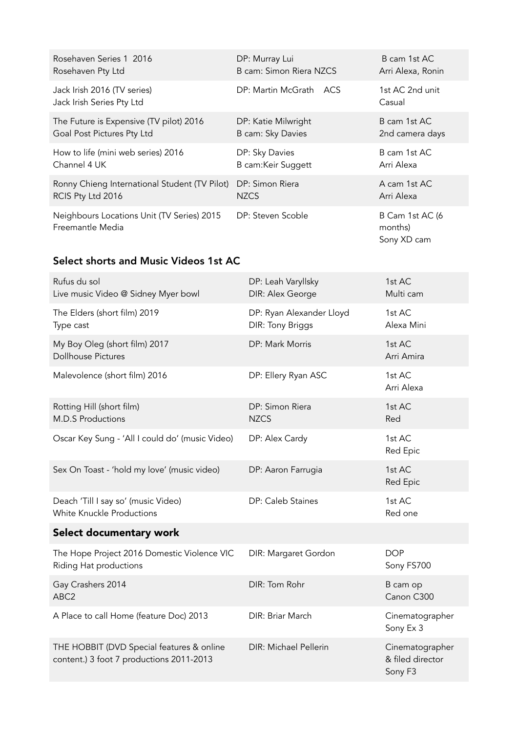| Rosehaven Series 1 2016                                        | DP: Murray Lui          | B cam 1st AC                              |
|----------------------------------------------------------------|-------------------------|-------------------------------------------|
| Rosehaven Pty Ltd                                              | B cam: Simon Riera NZCS | Arri Alexa, Ronin                         |
| Jack Irish 2016 (TV series)                                    | DP: Martin McGrath      | 1st AC 2nd unit                           |
| Jack Irish Series Pty Ltd                                      | ACS                     | Casual                                    |
| The Future is Expensive (TV pilot) 2016                        | DP: Katie Milwright     | B cam 1st AC                              |
| Goal Post Pictures Pty Ltd                                     | B cam: Sky Davies       | 2nd camera days                           |
| How to life (mini web series) 2016                             | DP: Sky Davies          | B cam 1st AC                              |
| Channel 4 UK                                                   | B cam: Keir Suggett     | Arri Alexa                                |
| Ronny Chieng International Student (TV Pilot)                  | DP: Simon Riera         | A cam 1st AC                              |
| RCIS Pty Ltd 2016                                              | <b>NZCS</b>             | Arri Alexa                                |
| Neighbours Locations Unit (TV Series) 2015<br>Freemantle Media | DP: Steven Scoble       | B Cam 1st AC (6<br>months)<br>Sony XD cam |

# Select shorts and Music Videos 1st AC

| Rufus du sol<br>Live music Video @ Sidney Myer bowl                                   | DP: Leah Varyllsky<br>DIR: Alex George       | 1st AC<br>Multi cam                            |
|---------------------------------------------------------------------------------------|----------------------------------------------|------------------------------------------------|
| The Elders (short film) 2019<br>Type cast                                             | DP: Ryan Alexander Lloyd<br>DIR: Tony Briggs | 1st AC<br>Alexa Mini                           |
| My Boy Oleg (short film) 2017<br><b>Dollhouse Pictures</b>                            | DP: Mark Morris                              | 1st AC<br>Arri Amira                           |
| Malevolence (short film) 2016                                                         | DP: Ellery Ryan ASC                          | 1st AC<br>Arri Alexa                           |
| Rotting Hill (short film)<br><b>M.D.S Productions</b>                                 | DP: Simon Riera<br><b>NZCS</b>               | 1st AC<br>Red                                  |
| Oscar Key Sung - 'All I could do' (music Video)                                       | DP: Alex Cardy                               | 1st AC<br>Red Epic                             |
| Sex On Toast - 'hold my love' (music video)                                           | DP: Aaron Farrugia                           | 1st AC<br>Red Epic                             |
| Deach 'Till I say so' (music Video)<br><b>White Knuckle Productions</b>               | DP: Caleb Staines                            | 1st AC<br>Red one                              |
| Select documentary work                                                               |                                              |                                                |
| The Hope Project 2016 Domestic Violence VIC<br>Riding Hat productions                 | DIR: Margaret Gordon                         | <b>DOP</b><br>Sony FS700                       |
| Gay Crashers 2014<br>ABC2                                                             | DIR: Tom Rohr                                | B cam op<br>Canon C300                         |
| A Place to call Home (feature Doc) 2013                                               | DIR: Briar March                             | Cinematographer<br>Sony Ex 3                   |
| THE HOBBIT (DVD Special features & online<br>content.) 3 foot 7 productions 2011-2013 | DIR: Michael Pellerin                        | Cinematographer<br>& filed director<br>Sony F3 |